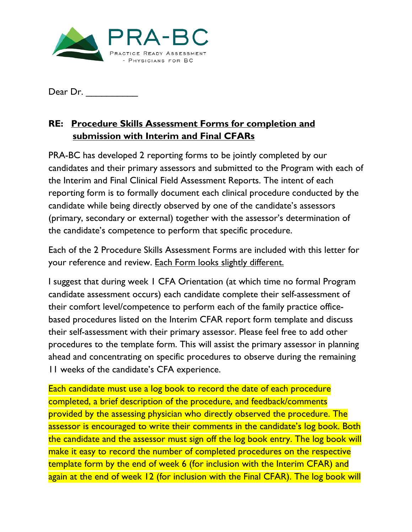

Dear Dr. \_\_\_\_\_\_\_\_\_\_

## **RE: Procedure Skills Assessment Forms for completion and submission with Interim and Final CFARs**

PRA-BC has developed 2 reporting forms to be jointly completed by our candidates and their primary assessors and submitted to the Program with each of the Interim and Final Clinical Field Assessment Reports. The intent of each reporting form is to formally document each clinical procedure conducted by the candidate while being directly observed by one of the candidate's assessors (primary, secondary or external) together with the assessor's determination of the candidate's competence to perform that specific procedure.

Each of the 2 Procedure Skills Assessment Forms are included with this letter for your reference and review. Each Form looks slightly different.

I suggest that during week 1 CFA Orientation (at which time no formal Program candidate assessment occurs) each candidate complete their self-assessment of their comfort level/competence to perform each of the family practice officebased procedures listed on the Interim CFAR report form template and discuss their self-assessment with their primary assessor. Please feel free to add other procedures to the template form. This will assist the primary assessor in planning ahead and concentrating on specific procedures to observe during the remaining 11 weeks of the candidate's CFA experience.

Each candidate must use a log book to record the date of each procedure completed, a brief description of the procedure, and feedback/comments provided by the assessing physician who directly observed the procedure. The assessor is encouraged to write their comments in the candidate's log book. Both the candidate and the assessor must sign off the log book entry. The log book will make it easy to record the number of completed procedures on the respective template form by the end of week 6 (for inclusion with the Interim CFAR) and again at the end of week 12 (for inclusion with the Final CFAR). The log book will